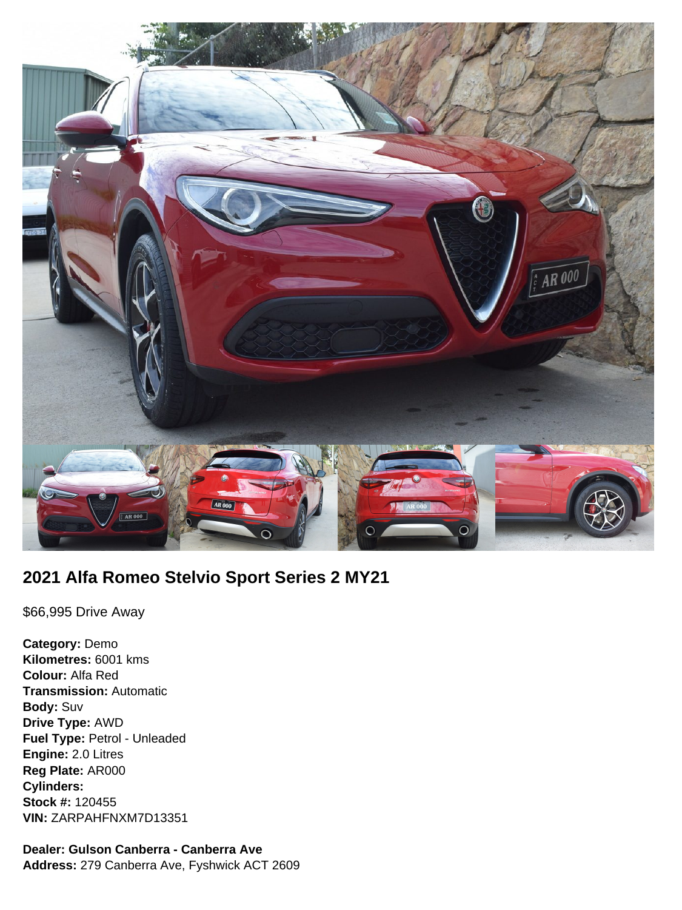

# **2021 Alfa Romeo Stelvio Sport Series 2 MY21**

\$66,995 Drive Away

**Category:** Demo **Kilometres:** 6001 kms **Colour:** Alfa Red **Transmission:** Automatic **Body:** Suv **Drive Type:** AWD **Fuel Type:** Petrol - Unleaded **Engine:** 2.0 Litres **Reg Plate:** AR000 **Cylinders: Stock #:** 120455 **VIN:** ZARPAHFNXM7D13351

# **Dealer: Gulson Canberra - Canberra Ave**

**Address:** 279 Canberra Ave, Fyshwick ACT 2609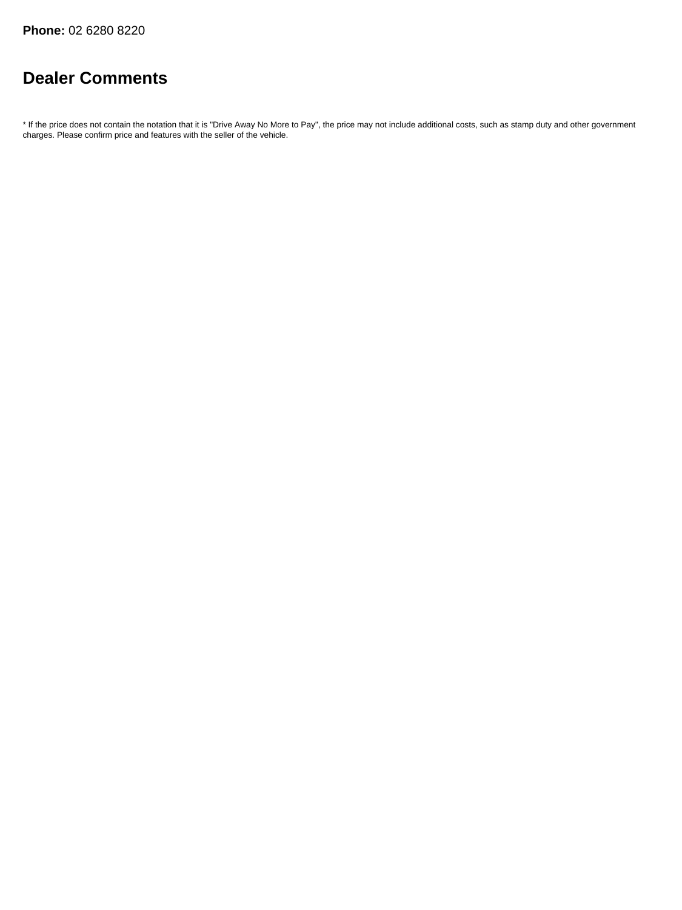# **Dealer Comments**

\* If the price does not contain the notation that it is "Drive Away No More to Pay", the price may not include additional costs, such as stamp duty and other government charges. Please confirm price and features with the seller of the vehicle.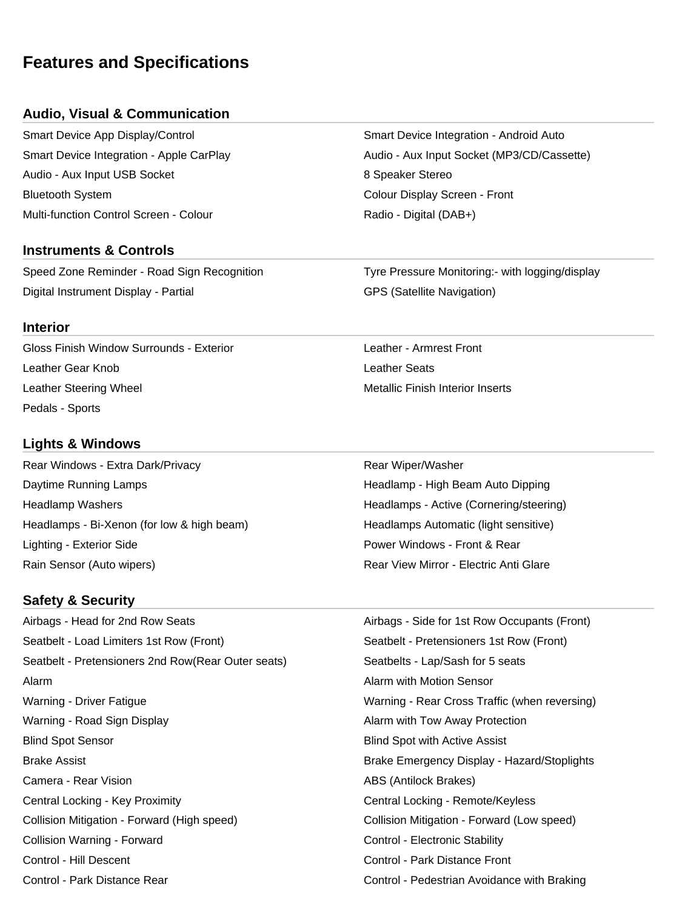# **Features and Specifications**

## **Audio, Visual & Communication**

Smart Device App Display/Control Smart Device Integration - Android Auto Audio - Aux Input USB Socket 8 Speaker Stereo Bluetooth System Colour Display Screen - Front Multi-function Control Screen - Colour **Radio - Digital (DAB+)** Radio - Digital (DAB+)

### **Instruments & Controls**

Speed Zone Reminder - Road Sign Recognition Tyre Pressure Monitoring:- with logging/display Digital Instrument Display - Partial GPS (Satellite Navigation)

#### **Interior**

Gloss Finish Window Surrounds - Exterior Location Leather - Armrest Front Leather Gear Knob Leather Seats Leather Steering Wheel Metallic Finish Interior Inserts Pedals - Sports

## **Lights & Windows**

Rear Windows - Extra Dark/Privacy **Rear Windows - Extra Dark/Privacy** Rear Wiper/Washer Daytime Running Lamps **Headlamp - High Beam Auto Dipping** High Beam Auto Dipping Headlamp Washers **Headlamps - Active (Cornering/steering)** Headlamps - Active (Cornering/steering) Headlamps - Bi-Xenon (for low & high beam) Headlamps Automatic (light sensitive) Lighting - Exterior Side Power Windows - Front & Rear Rain Sensor (Auto wipers) The Common Sensitive Common Sensitive Common Sensitive Common Sensitive Common Sensitive Common Sensitive Common Sensitive Common Sensitive Common Sensitive Common Sensitive Common Sensitive Commo

## **Safety & Security**

Airbags - Head for 2nd Row Seats Airbags - Side for 1st Row Occupants (Front) Seatbelt - Load Limiters 1st Row (Front) Seatbelt - Pretensioners 1st Row (Front) Seatbelt - Pretensioners 2nd Row(Rear Outer seats) Seatbelts - Lap/Sash for 5 seats Alarm Alarm with Motion Sensor Warning - Driver Fatigue Warning - Rear Cross Traffic (when reversing) Warning - Road Sign Display Alarm with Tow Away Protection Blind Spot Sensor Blind Spot with Active Assist Brake Assist Brake Emergency Display - Hazard/Stoplights Camera - Rear Vision **ABS** (Antilock Brakes) Central Locking - Key Proximity Central Locking - Remote/Keyless Collision Mitigation - Forward (High speed) Collision Mitigation - Forward (Low speed) Collision Warning - Forward **Control - Electronic Stability** Control - Electronic Stability Control - Hill Descent Control - Park Distance Front Control - Park Distance Rear Control - Pedestrian Avoidance with Braking

Smart Device Integration - Apple CarPlay **Audio - Aux Input Socket (MP3/CD/Cassette)**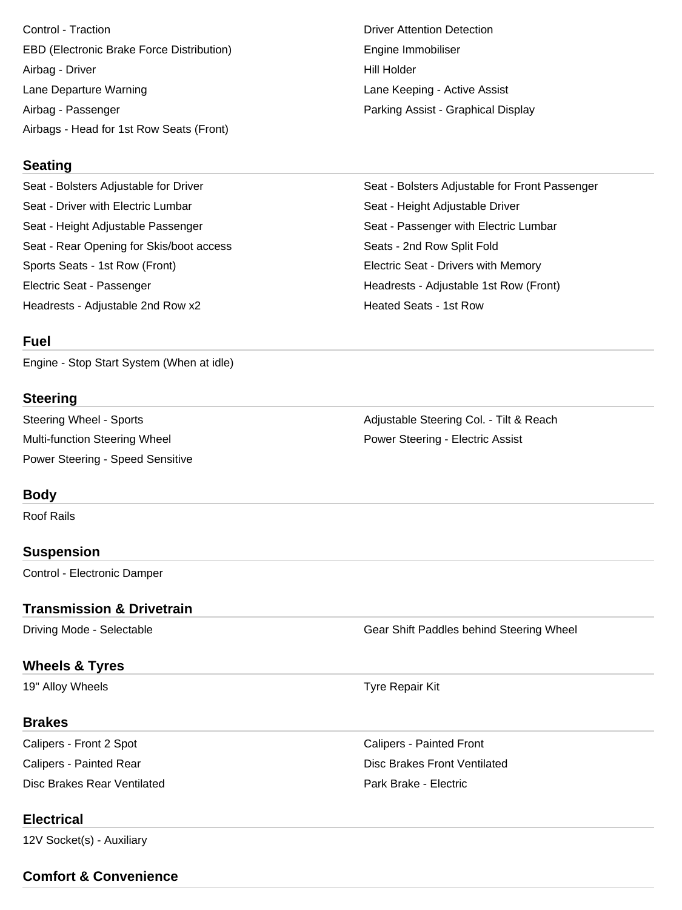Control - Traction **Driver Attention Detection** EBD (Electronic Brake Force Distribution) The Engine Immobiliser Airbag - Driver **Hill Holder** Lane Departure Warning Lane Keeping - Active Assist Airbag - Passenger **Parking Assist - Graphical Display** Airbags - Head for 1st Row Seats (Front)

#### **Seating**

Seat - Bolsters Adjustable for Driver Seat - Bolsters Adjustable for Front Passenger Seat - Driver with Electric Lumbar Seat - Height Adjustable Driver Seat - Height Adjustable Passenger Seat - Passenger with Electric Lumbar Seat - Rear Opening for Skis/boot access Seats - 2nd Row Split Fold Sports Seats - 1st Row (Front) Electric Seat - Drivers with Memory Electric Seat - Passenger Headrests - Adjustable 1st Row (Front) Headrests - Adjustable 2nd Row x2 **Heated Seats - 1st Row** Heated Seats - 1st Row

#### **Fuel**

Engine - Stop Start System (When at idle)

#### **Steering**

Multi-function Steering Wheel **Power Steering - Electric Assist** Power Steering - Speed Sensitive

### **Body**

Roof Rails

#### **Suspension**

Control - Electronic Damper

#### **Transmission & Drivetrain**

Driving Mode - Selectable Gear Shift Paddles behind Steering Wheel

### **Wheels & Tyres**

19" Alloy Wheels **Tyre Repair Kit** 

#### **Brakes**

Calipers - Front 2 Spot Calipers - Painted Front Disc Brakes Rear Ventilated Park Brake - Electric

Calipers - Painted Rear Disc Brakes Front Ventilated

## **Electrical**

12V Socket(s) - Auxiliary

**Comfort & Convenience**

Steering Wheel - Sports **Adjustable Steering Col. - Tilt & Reach**